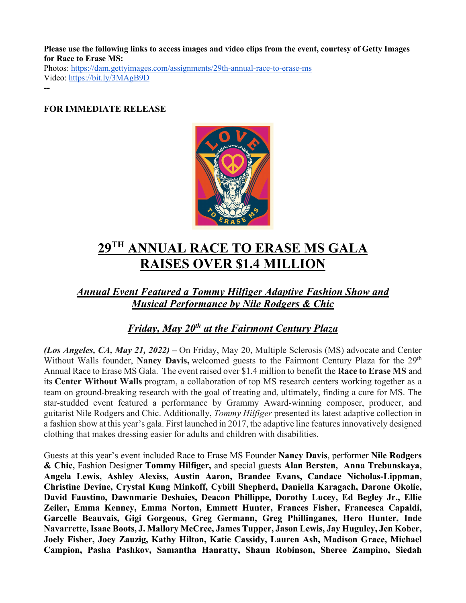**Please use the following links to access images and video clips from the event, courtesy of Getty Images for Race to Erase MS:**

Photos: https://dam.gettyimages.com/assignments/29th-annual-race-to-erase-ms Video: https://bit.ly/3MAgB9D

**--**

### **FOR IMMEDIATE RELEASE**



# **29TH ANNUAL RACE TO ERASE MS GALA RAISES OVER \$1.4 MILLION**

*Annual Event Featured a Tommy Hilfiger Adaptive Fashion Show and Musical Performance by Nile Rodgers & Chic*

## *Friday, May 20th at the Fairmont Century Plaza*

*(Los Angeles, CA, May 21, 2022) –* On Friday, May 20, Multiple Sclerosis (MS) advocate and Center Without Walls founder, **Nancy Davis,** welcomed guests to the Fairmont Century Plaza for the 29<sup>th</sup> Annual Race to Erase MS Gala. The event raised over \$1.4 million to benefit the **Race to Erase MS** and its **Center Without Walls** program, a collaboration of top MS research centers working together as a team on ground-breaking research with the goal of treating and, ultimately, finding a cure for MS. The star-studded event featured a performance by Grammy Award-winning composer, producer, and guitarist Nile Rodgers and Chic. Additionally, *Tommy Hilfiger* presented its latest adaptive collection in a fashion show at this year's gala. First launched in 2017, the adaptive line features innovatively designed clothing that makes dressing easier for adults and children with disabilities.

Guests at this year's event included Race to Erase MS Founder **Nancy Davis**, performer **Nile Rodgers & Chic,** Fashion Designer **Tommy Hilfiger,** and special guests **Alan Bersten, Anna Trebunskaya, Angela Lewis, Ashley Alexiss, Austin Aaron, Brandee Evans, Candace Nicholas-Lippman, Christine Devine, Crystal Kung Minkoff, Cybill Shepherd, Daniella Karagach, Darone Okolie, David Faustino, Dawnmarie Deshaies, Deacon Phillippe, Dorothy Lucey, Ed Begley Jr., Ellie Zeiler, Emma Kenney, Emma Norton, Emmett Hunter, Frances Fisher, Francesca Capaldi, Garcelle Beauvais, Gigi Gorgeous, Greg Germann, Greg Phillinganes, Hero Hunter, Inde Navarrette, Isaac Boots, J. Mallory McCree, James Tupper, Jason Lewis, Jay Huguley, Jen Kober, Joely Fisher, Joey Zauzig, Kathy Hilton, Katie Cassidy, Lauren Ash, Madison Grace, Michael Campion, Pasha Pashkov, Samantha Hanratty, Shaun Robinson, Sheree Zampino, Siedah**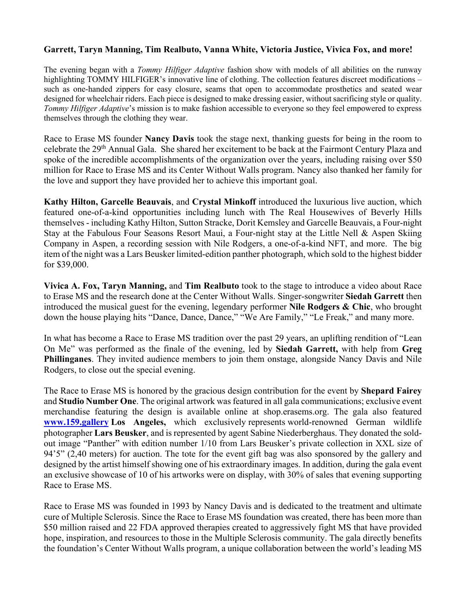### **Garrett, Taryn Manning, Tim Realbuto, Vanna White, Victoria Justice, Vivica Fox, and more!**

The evening began with a *Tommy Hilfiger Adaptive* fashion show with models of all abilities on the runway highlighting TOMMY HILFIGER's innovative line of clothing. The collection features discreet modifications – such as one-handed zippers for easy closure, seams that open to accommodate prosthetics and seated wear designed for wheelchair riders. Each piece is designed to make dressing easier, without sacrificing style or quality. *Tommy Hilfiger Adaptive*'s mission is to make fashion accessible to everyone so they feel empowered to express themselves through the clothing they wear.

Race to Erase MS founder **Nancy Davis** took the stage next, thanking guests for being in the room to celebrate the 29th Annual Gala. She shared her excitement to be back at the Fairmont Century Plaza and spoke of the incredible accomplishments of the organization over the years, including raising over \$50 million for Race to Erase MS and its Center Without Walls program. Nancy also thanked her family for the love and support they have provided her to achieve this important goal.

**Kathy Hilton, Garcelle Beauvais**, and **Crystal Minkoff** introduced the luxurious live auction, which featured one-of-a-kind opportunities including lunch with The Real Housewives of Beverly Hills themselves - including Kathy Hilton, Sutton Stracke, Dorit Kemsley and Garcelle Beauvais, a Four-night Stay at the Fabulous Four Seasons Resort Maui, a Four-night stay at the Little Nell & Aspen Skiing Company in Aspen, a recording session with Nile Rodgers, a one-of-a-kind NFT, and more. The big item of the night was a Lars Beusker limited-edition panther photograph, which sold to the highest bidder for \$39,000.

**Vivica A. Fox, Taryn Manning,** and **Tim Realbuto** took to the stage to introduce a video about Race to Erase MS and the research done at the Center Without Walls. Singer-songwriter **Siedah Garrett** then introduced the musical guest for the evening, legendary performer **Nile Rodgers & Chic**, who brought down the house playing hits "Dance, Dance, Dance," "We Are Family," "Le Freak," and many more.

In what has become a Race to Erase MS tradition over the past 29 years, an uplifting rendition of "Lean On Me" was performed as the finale of the evening, led by **Siedah Garrett,** with help from **Greg Phillinganes**. They invited audience members to join them onstage, alongside Nancy Davis and Nile Rodgers, to close out the special evening.

The Race to Erase MS is honored by the gracious design contribution for the event by **Shepard Fairey** and **Studio Number One**. The original artwork was featured in all gala communications; exclusive event merchandise featuring the design is available online at shop.erasems.org. The gala also featured **www.159.gallery Los Angeles,** which exclusively represents world-renowned German wildlife photographer **Lars Beusker**, and is represented by agent Sabine Niederberghaus. They donated the soldout image "Panther" with edition number 1/10 from Lars Beusker's private collection in XXL size of 94'5" (2,40 meters) for auction. The tote for the event gift bag was also sponsored by the gallery and designed by the artist himself showing one of his extraordinary images. In addition, during the gala event an exclusive showcase of 10 of his artworks were on display, with 30% of sales that evening supporting Race to Erase MS.

Race to Erase MS was founded in 1993 by Nancy Davis and is dedicated to the treatment and ultimate cure of Multiple Sclerosis. Since the Race to Erase MS foundation was created, there has been more than \$50 million raised and 22 FDA approved therapies created to aggressively fight MS that have provided hope, inspiration, and resources to those in the Multiple Sclerosis community. The gala directly benefits the foundation's Center Without Walls program, a unique collaboration between the world's leading MS